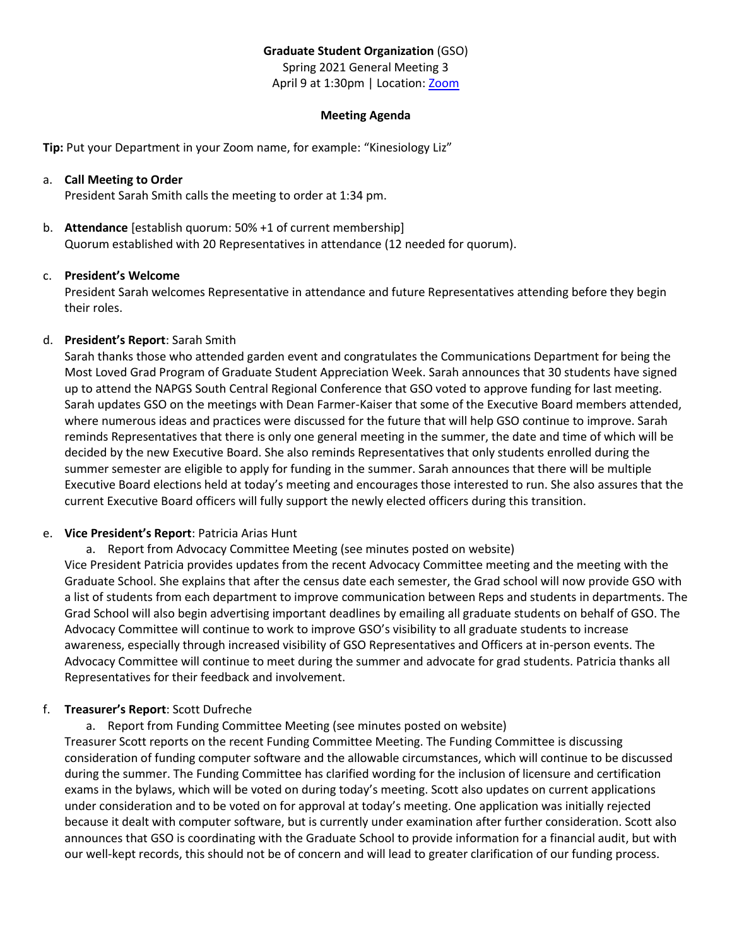## **Graduate Student Organization** (GSO)

Spring 2021 General Meeting 3

April 9 at 1:30pm | Location[: Zoom](https://ullafayette.zoom.us/j/4465632768)

### **Meeting Agenda**

**Tip:** Put your Department in your Zoom name, for example: "Kinesiology Liz"

### a. **Call Meeting to Order**

President Sarah Smith calls the meeting to order at 1:34 pm.

b. **Attendance** [establish quorum: 50% +1 of current membership] Quorum established with 20 Representatives in attendance (12 needed for quorum).

## c. **President's Welcome**

President Sarah welcomes Representative in attendance and future Representatives attending before they begin their roles.

## d. **President's Report**: Sarah Smith

Sarah thanks those who attended garden event and congratulates the Communications Department for being the Most Loved Grad Program of Graduate Student Appreciation Week. Sarah announces that 30 students have signed up to attend the NAPGS South Central Regional Conference that GSO voted to approve funding for last meeting. Sarah updates GSO on the meetings with Dean Farmer-Kaiser that some of the Executive Board members attended, where numerous ideas and practices were discussed for the future that will help GSO continue to improve. Sarah reminds Representatives that there is only one general meeting in the summer, the date and time of which will be decided by the new Executive Board. She also reminds Representatives that only students enrolled during the summer semester are eligible to apply for funding in the summer. Sarah announces that there will be multiple Executive Board elections held at today's meeting and encourages those interested to run. She also assures that the current Executive Board officers will fully support the newly elected officers during this transition.

# e. **Vice President's Report**: Patricia Arias Hunt

a. Report from Advocacy Committee Meeting (see minutes posted on website)

Vice President Patricia provides updates from the recent Advocacy Committee meeting and the meeting with the Graduate School. She explains that after the census date each semester, the Grad school will now provide GSO with a list of students from each department to improve communication between Reps and students in departments. The Grad School will also begin advertising important deadlines by emailing all graduate students on behalf of GSO. The Advocacy Committee will continue to work to improve GSO's visibility to all graduate students to increase awareness, especially through increased visibility of GSO Representatives and Officers at in-person events. The Advocacy Committee will continue to meet during the summer and advocate for grad students. Patricia thanks all Representatives for their feedback and involvement.

# f. **Treasurer's Report**: Scott Dufreche

a. Report from Funding Committee Meeting (see minutes posted on website)

Treasurer Scott reports on the recent Funding Committee Meeting. The Funding Committee is discussing consideration of funding computer software and the allowable circumstances, which will continue to be discussed during the summer. The Funding Committee has clarified wording for the inclusion of licensure and certification exams in the bylaws, which will be voted on during today's meeting. Scott also updates on current applications under consideration and to be voted on for approval at today's meeting. One application was initially rejected because it dealt with computer software, but is currently under examination after further consideration. Scott also announces that GSO is coordinating with the Graduate School to provide information for a financial audit, but with our well-kept records, this should not be of concern and will lead to greater clarification of our funding process.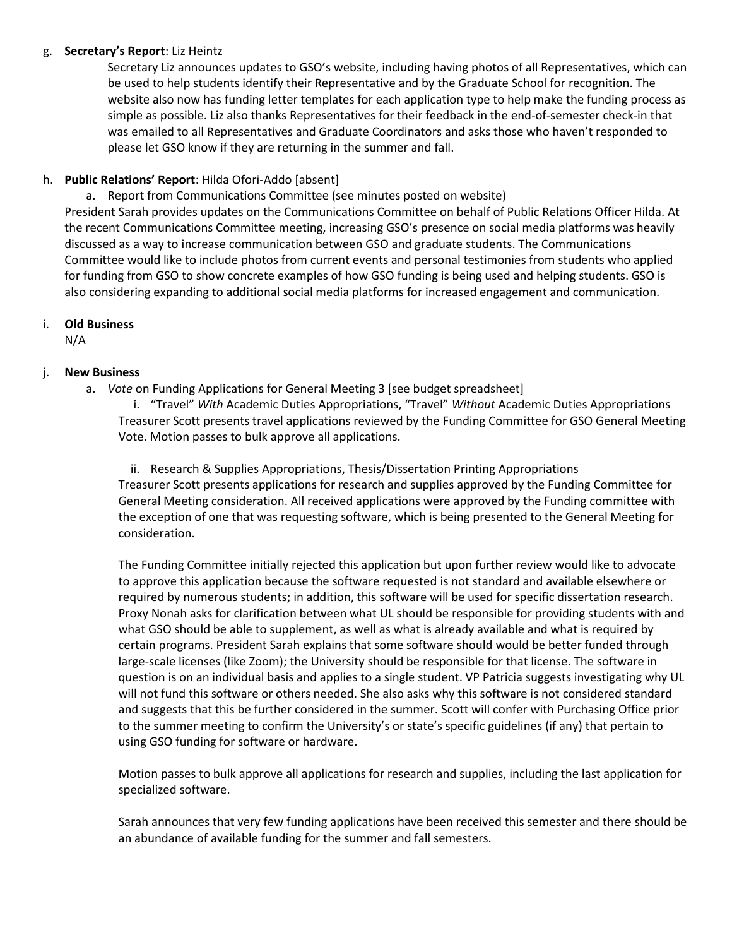### g. **Secretary's Report**: Liz Heintz

Secretary Liz announces updates to GSO's website, including having photos of all Representatives, which can be used to help students identify their Representative and by the Graduate School for recognition. The website also now has funding letter templates for each application type to help make the funding process as simple as possible. Liz also thanks Representatives for their feedback in the end-of-semester check-in that was emailed to all Representatives and Graduate Coordinators and asks those who haven't responded to please let GSO know if they are returning in the summer and fall.

# h. **Public Relations' Report**: Hilda Ofori-Addo [absent]

a. Report from Communications Committee (see minutes posted on website)

President Sarah provides updates on the Communications Committee on behalf of Public Relations Officer Hilda. At the recent Communications Committee meeting, increasing GSO's presence on social media platforms was heavily discussed as a way to increase communication between GSO and graduate students. The Communications Committee would like to include photos from current events and personal testimonies from students who applied for funding from GSO to show concrete examples of how GSO funding is being used and helping students. GSO is also considering expanding to additional social media platforms for increased engagement and communication.

# i. **Old Business**

N/A

## j. **New Business**

a. *Vote* on Funding Applications for General Meeting 3 [see budget spreadsheet]

i. "Travel" *With* Academic Duties Appropriations, "Travel" *Without* Academic Duties Appropriations Treasurer Scott presents travel applications reviewed by the Funding Committee for GSO General Meeting Vote. Motion passes to bulk approve all applications.

ii. Research & Supplies Appropriations, Thesis/Dissertation Printing Appropriations Treasurer Scott presents applications for research and supplies approved by the Funding Committee for General Meeting consideration. All received applications were approved by the Funding committee with the exception of one that was requesting software, which is being presented to the General Meeting for consideration.

The Funding Committee initially rejected this application but upon further review would like to advocate to approve this application because the software requested is not standard and available elsewhere or required by numerous students; in addition, this software will be used for specific dissertation research. Proxy Nonah asks for clarification between what UL should be responsible for providing students with and what GSO should be able to supplement, as well as what is already available and what is required by certain programs. President Sarah explains that some software should would be better funded through large-scale licenses (like Zoom); the University should be responsible for that license. The software in question is on an individual basis and applies to a single student. VP Patricia suggests investigating why UL will not fund this software or others needed. She also asks why this software is not considered standard and suggests that this be further considered in the summer. Scott will confer with Purchasing Office prior to the summer meeting to confirm the University's or state's specific guidelines (if any) that pertain to using GSO funding for software or hardware.

Motion passes to bulk approve all applications for research and supplies, including the last application for specialized software.

Sarah announces that very few funding applications have been received this semester and there should be an abundance of available funding for the summer and fall semesters.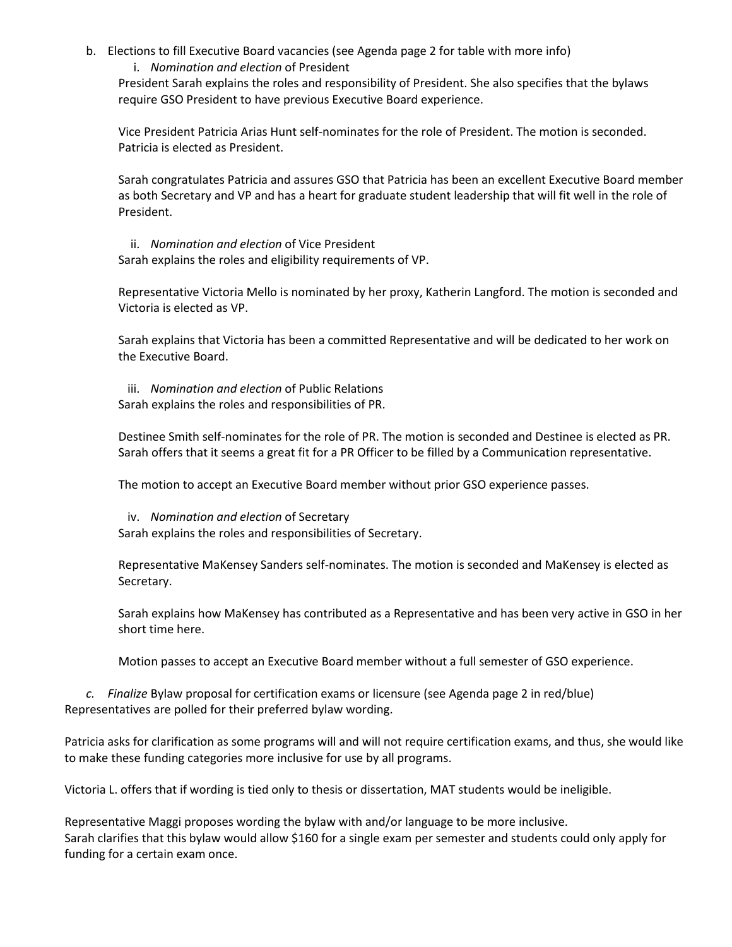- b. Elections to fill Executive Board vacancies (see Agenda page 2 for table with more info)
	- i. *Nomination and election* of President

President Sarah explains the roles and responsibility of President. She also specifies that the bylaws require GSO President to have previous Executive Board experience.

Vice President Patricia Arias Hunt self-nominates for the role of President. The motion is seconded. Patricia is elected as President.

Sarah congratulates Patricia and assures GSO that Patricia has been an excellent Executive Board member as both Secretary and VP and has a heart for graduate student leadership that will fit well in the role of President.

ii. *Nomination and election* of Vice President Sarah explains the roles and eligibility requirements of VP.

Representative Victoria Mello is nominated by her proxy, Katherin Langford. The motion is seconded and Victoria is elected as VP.

Sarah explains that Victoria has been a committed Representative and will be dedicated to her work on the Executive Board.

iii. *Nomination and election* of Public Relations Sarah explains the roles and responsibilities of PR.

Destinee Smith self-nominates for the role of PR. The motion is seconded and Destinee is elected as PR. Sarah offers that it seems a great fit for a PR Officer to be filled by a Communication representative.

The motion to accept an Executive Board member without prior GSO experience passes.

iv. *Nomination and election* of Secretary

Sarah explains the roles and responsibilities of Secretary.

Representative MaKensey Sanders self-nominates. The motion is seconded and MaKensey is elected as Secretary.

Sarah explains how MaKensey has contributed as a Representative and has been very active in GSO in her short time here.

Motion passes to accept an Executive Board member without a full semester of GSO experience.

*c. Finalize* Bylaw proposal for certification exams or licensure (see Agenda page 2 in red/blue) Representatives are polled for their preferred bylaw wording.

Patricia asks for clarification as some programs will and will not require certification exams, and thus, she would like to make these funding categories more inclusive for use by all programs.

Victoria L. offers that if wording is tied only to thesis or dissertation, MAT students would be ineligible.

Representative Maggi proposes wording the bylaw with and/or language to be more inclusive. Sarah clarifies that this bylaw would allow \$160 for a single exam per semester and students could only apply for funding for a certain exam once.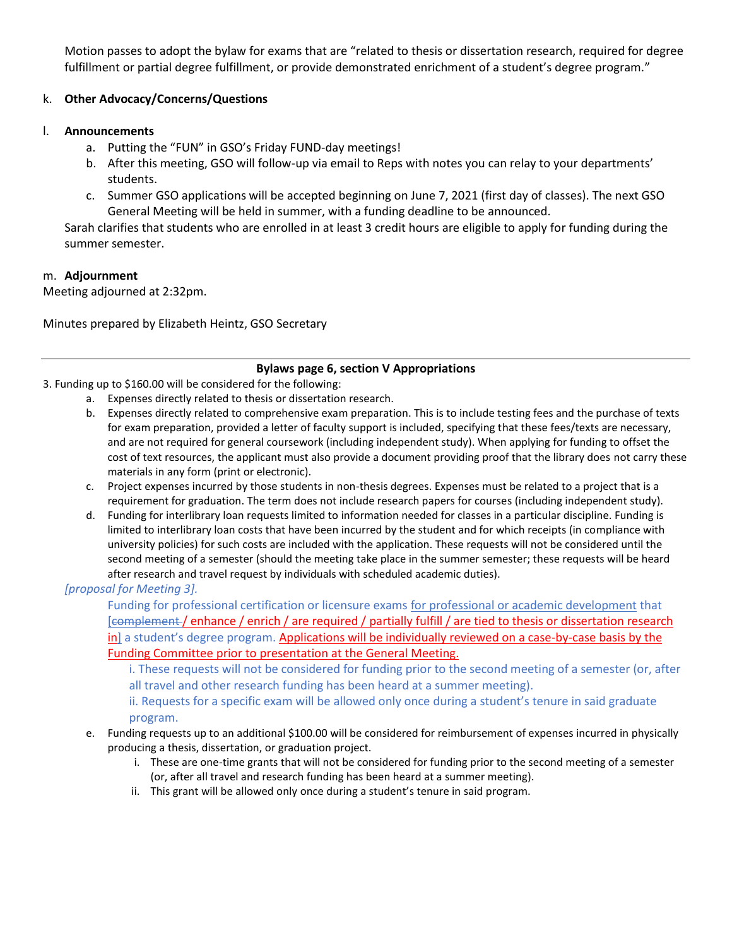Motion passes to adopt the bylaw for exams that are "related to thesis or dissertation research, required for degree fulfillment or partial degree fulfillment, or provide demonstrated enrichment of a student's degree program."

## k. **Other Advocacy/Concerns/Questions**

### l. **Announcements**

- a. Putting the "FUN" in GSO's Friday FUND-day meetings!
- b. After this meeting, GSO will follow-up via email to Reps with notes you can relay to your departments' students.
- c. Summer GSO applications will be accepted beginning on June 7, 2021 (first day of classes). The next GSO General Meeting will be held in summer, with a funding deadline to be announced.

Sarah clarifies that students who are enrolled in at least 3 credit hours are eligible to apply for funding during the summer semester.

### m. **Adjournment**

Meeting adjourned at 2:32pm.

Minutes prepared by Elizabeth Heintz, GSO Secretary

### **Bylaws page 6, section V Appropriations**

3. Funding up to \$160.00 will be considered for the following:

- a. Expenses directly related to thesis or dissertation research.
- b. Expenses directly related to comprehensive exam preparation. This is to include testing fees and the purchase of texts for exam preparation, provided a letter of faculty support is included, specifying that these fees/texts are necessary, and are not required for general coursework (including independent study). When applying for funding to offset the cost of text resources, the applicant must also provide a document providing proof that the library does not carry these materials in any form (print or electronic).
- c. Project expenses incurred by those students in non-thesis degrees. Expenses must be related to a project that is a requirement for graduation. The term does not include research papers for courses (including independent study).
- d. Funding for interlibrary loan requests limited to information needed for classes in a particular discipline. Funding is limited to interlibrary loan costs that have been incurred by the student and for which receipts (in compliance with university policies) for such costs are included with the application. These requests will not be considered until the second meeting of a semester (should the meeting take place in the summer semester; these requests will be heard after research and travel request by individuals with scheduled academic duties).

### *[proposal for Meeting 3].*

Funding for professional certification or licensure exams for professional or academic development that [complement / enhance / enrich / are required / partially fulfill / are tied to thesis or dissertation research in] a student's degree program. Applications will be individually reviewed on a case-by-case basis by the Funding Committee prior to presentation at the General Meeting.

i. These requests will not be considered for funding prior to the second meeting of a semester (or, after all travel and other research funding has been heard at a summer meeting).

ii. Requests for a specific exam will be allowed only once during a student's tenure in said graduate program.

- e. Funding requests up to an additional \$100.00 will be considered for reimbursement of expenses incurred in physically producing a thesis, dissertation, or graduation project.
	- i. These are one-time grants that will not be considered for funding prior to the second meeting of a semester (or, after all travel and research funding has been heard at a summer meeting).
	- ii. This grant will be allowed only once during a student's tenure in said program.